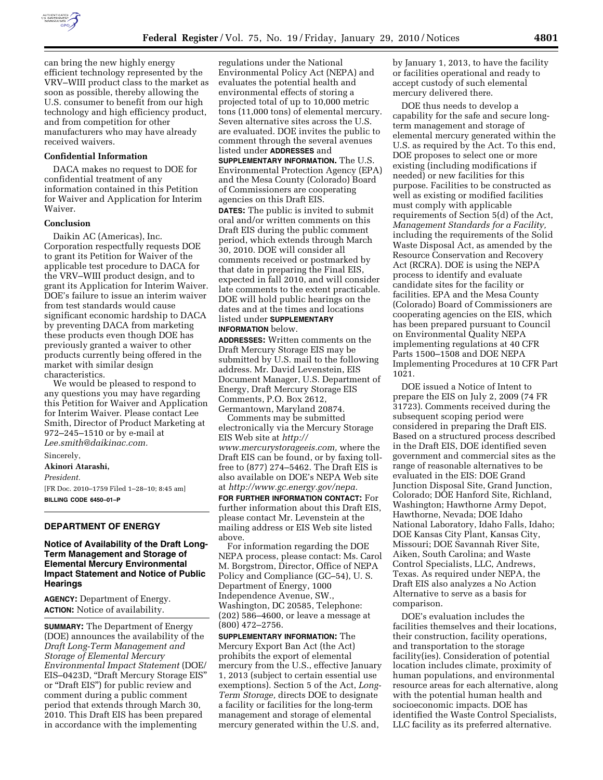

can bring the new highly energy efficient technology represented by the VRV–WIII product class to the market as soon as possible, thereby allowing the U.S. consumer to benefit from our high technology and high efficiency product, and from competition for other manufacturers who may have already received waivers.

#### **Confidential Information**

DACA makes no request to DOE for confidential treatment of any information contained in this Petition for Waiver and Application for Interim Waiver.

#### **Conclusion**

Daikin AC (Americas), Inc. Corporation respectfully requests DOE to grant its Petition for Waiver of the applicable test procedure to DACA for the VRV–WIII product design, and to grant its Application for Interim Waiver. DOE's failure to issue an interim waiver from test standards would cause significant economic hardship to DACA by preventing DACA from marketing these products even though DOE has previously granted a waiver to other products currently being offered in the market with similar design characteristics.

We would be pleased to respond to any questions you may have regarding this Petition for Waiver and Application for Interim Waiver. Please contact Lee Smith, Director of Product Marketing at 972–245–1510 or by e-mail at *Lee.smith@daikinac.com.* 

Sincerely,

### **Akinori Atarashi,**

*President.* 

[FR Doc. 2010–1759 Filed 1–28–10; 8:45 am] **BILLING CODE 6450–01–P** 

#### **DEPARTMENT OF ENERGY**

### **Notice of Availability of the Draft Long-Term Management and Storage of Elemental Mercury Environmental Impact Statement and Notice of Public Hearings**

**AGENCY:** Department of Energy. **ACTION:** Notice of availability.

**SUMMARY:** The Department of Energy (DOE) announces the availability of the *Draft Long-Term Management and Storage of Elemental Mercury Environmental Impact Statement* (DOE/ EIS–0423D, ''Draft Mercury Storage EIS'' or ''Draft EIS'') for public review and comment during a public comment period that extends through March 30, 2010. This Draft EIS has been prepared in accordance with the implementing

regulations under the National Environmental Policy Act (NEPA) and evaluates the potential health and environmental effects of storing a projected total of up to 10,000 metric tons (11,000 tons) of elemental mercury. Seven alternative sites across the U.S. are evaluated. DOE invites the public to comment through the several avenues listed under **ADDRESSES** and

**SUPPLEMENTARY INFORMATION.** The U.S. Environmental Protection Agency (EPA) and the Mesa County (Colorado) Board of Commissioners are cooperating agencies on this Draft EIS.

**DATES:** The public is invited to submit oral and/or written comments on this Draft EIS during the public comment period, which extends through March 30, 2010. DOE will consider all comments received or postmarked by that date in preparing the Final EIS, expected in fall 2010, and will consider late comments to the extent practicable. DOE will hold public hearings on the dates and at the times and locations listed under **SUPPLEMENTARY INFORMATION** below.

**ADDRESSES:** Written comments on the Draft Mercury Storage EIS may be submitted by U.S. mail to the following address. Mr. David Levenstein, EIS Document Manager, U.S. Department of Energy, Draft Mercury Storage EIS Comments, P.O. Box 2612, Germantown, Maryland 20874.

Comments may be submitted electronically via the Mercury Storage EIS Web site at *http:// www.mercurystorageeis.com,* where the Draft EIS can be found, or by faxing tollfree to (877) 274–5462. The Draft EIS is also available on DOE's NEPA Web site at *http://www.gc.energy.gov/nepa.* 

**FOR FURTHER INFORMATION CONTACT:** For further information about this Draft EIS, please contact Mr. Levenstein at the mailing address or EIS Web site listed above.

For information regarding the DOE NEPA process, please contact: Ms. Carol M. Borgstrom, Director, Office of NEPA Policy and Compliance (GC–54), U. S. Department of Energy, 1000 Independence Avenue, SW., Washington, DC 20585, Telephone: (202) 586–4600, or leave a message at (800) 472–2756.

**SUPPLEMENTARY INFORMATION:** The Mercury Export Ban Act (the Act) prohibits the export of elemental mercury from the U.S., effective January 1, 2013 (subject to certain essential use exemptions). Section 5 of the Act, *Long-Term Storage,* directs DOE to designate a facility or facilities for the long-term management and storage of elemental mercury generated within the U.S. and,

by January 1, 2013, to have the facility or facilities operational and ready to accept custody of such elemental mercury delivered there.

DOE thus needs to develop a capability for the safe and secure longterm management and storage of elemental mercury generated within the U.S. as required by the Act. To this end, DOE proposes to select one or more existing (including modifications if needed) or new facilities for this purpose. Facilities to be constructed as well as existing or modified facilities must comply with applicable requirements of Section 5(d) of the Act, *Management Standards for a Facility,*  including the requirements of the Solid Waste Disposal Act, as amended by the Resource Conservation and Recovery Act (RCRA). DOE is using the NEPA process to identify and evaluate candidate sites for the facility or facilities. EPA and the Mesa County (Colorado) Board of Commissioners are cooperating agencies on the EIS, which has been prepared pursuant to Council on Environmental Quality NEPA implementing regulations at 40 CFR Parts 1500–1508 and DOE NEPA Implementing Procedures at 10 CFR Part 1021.

DOE issued a Notice of Intent to prepare the EIS on July 2, 2009 (74 FR 31723). Comments received during the subsequent scoping period were considered in preparing the Draft EIS. Based on a structured process described in the Draft EIS, DOE identified seven government and commercial sites as the range of reasonable alternatives to be evaluated in the EIS: DOE Grand Junction Disposal Site, Grand Junction, Colorado; DOE Hanford Site, Richland, Washington; Hawthorne Army Depot, Hawthorne, Nevada; DOE Idaho National Laboratory, Idaho Falls, Idaho; DOE Kansas City Plant, Kansas City, Missouri; DOE Savannah River Site, Aiken, South Carolina; and Waste Control Specialists, LLC, Andrews, Texas. As required under NEPA, the Draft EIS also analyzes a No Action Alternative to serve as a basis for comparison.

DOE's evaluation includes the facilities themselves and their locations, their construction, facility operations, and transportation to the storage facility(ies). Consideration of potential location includes climate, proximity of human populations, and environmental resource areas for each alternative, along with the potential human health and socioeconomic impacts. DOE has identified the Waste Control Specialists, LLC facility as its preferred alternative.